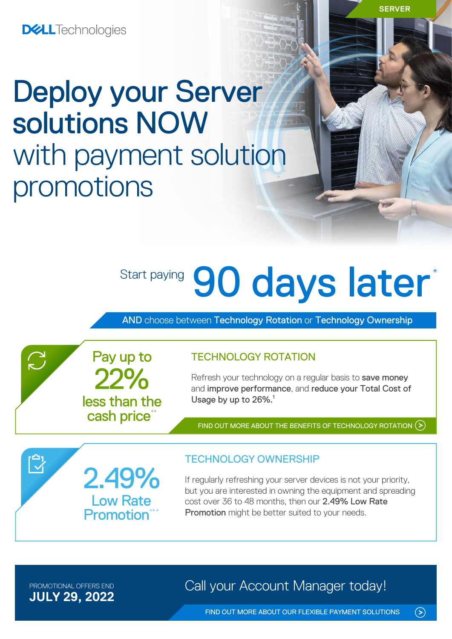# Deploy your Server solutions NOW with payment solution promotions

# Start paying 90 days later\*

AND choose between Technology Rotation or Technology Ownership



Refresh your technology on a regular basis to save money and improve performance, and reduce your Total Cost of Usage by up to 26%.<sup>1</sup>

FIND OUT MORE ABOUT THE [BENEFITS OF TECHNOLOGY ROTATION](https://www.delltechnologies.com/en-gb/payment-solutions/leasing.htm#tab0=0) (>)



22%

Pay up to

less than the cash price\*

### TECHNOLOGY OWNERSHIP

If regularly refreshing your server devices is not your priority, but you are interested in owning the equipment and spreading cost over 36 to 48 months, then our 2.49% Low Rate Promotion might be better suited to your needs.

**JULY 29, 2022**

 $\sum$ 

PROMOTIONAL OFFERS END **Call your Account Manager today!** 

 $\odot$